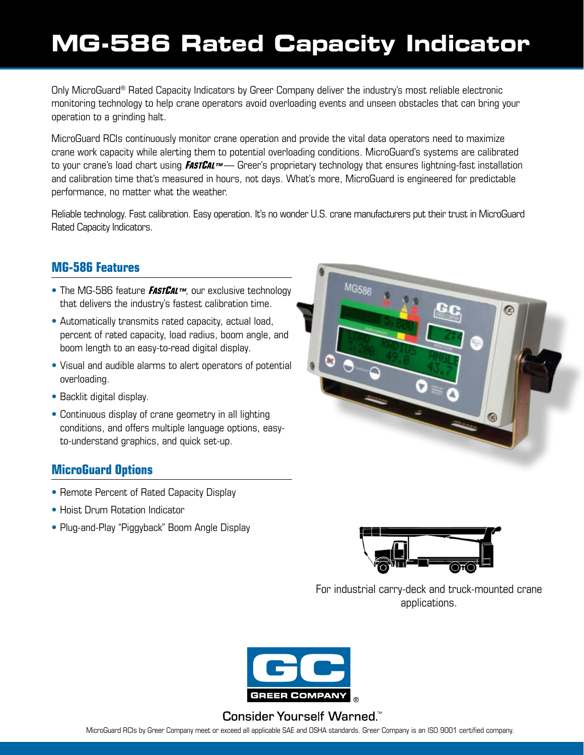# **[MG-586 Rated Capacity Indicator](#page-4-0)**

Only MicroGuard® Rated Capacity Indicators by Greer Company deliver the industry's most reliable electronic monitoring technology to help crane operators avoid overloading events and unseen obstacles that can bring your operation to a grinding halt.

MicroGuard RCIs continuously monitor crane operation and provide the vital data operators need to maximize crane work capacity while alerting them to potential overloading conditions. MicroGuard's systems are calibrated to your crane's load chart using **FASTCAL™** — Greer's proprietary technology that ensures lightning-fast installation and calibration time that's measured in hours, not days. What's more, MicroGuard is engineered for predictable performance, no matter what the weather.

Reliable technology. Fast calibration. Easy operation. It's no wonder U.S. crane manufacturers put their trust in MicroGuard Rated Capacity Indicators.

### **MG-586 Features**

- The MG-586 feature **FASTCAL™**, our exclusive technology that delivers the industry's fastest calibration time.
- Automatically transmits rated capacity, actual load, percent of rated capacity, load radius, boom angle, and boom length to an easy-to-read digital display.
- Visual and audible alarms to alert operators of potential overloading.
- Backlit digital display.
- Continuous display of crane geometry in all lighting conditions, and offers multiple language options, easyto-understand graphics, and quick set-up.

#### **MicroGuard Options**

- Remote Percent of Rated Capacity Display
- Hoist Drum Rotation Indicator
- Plug-and-Play "Piggyback" Boom Angle Display



For industrial carry-deck and truck-mounted crane applications.



#### Consider Yourself Warned.<sup>™</sup>